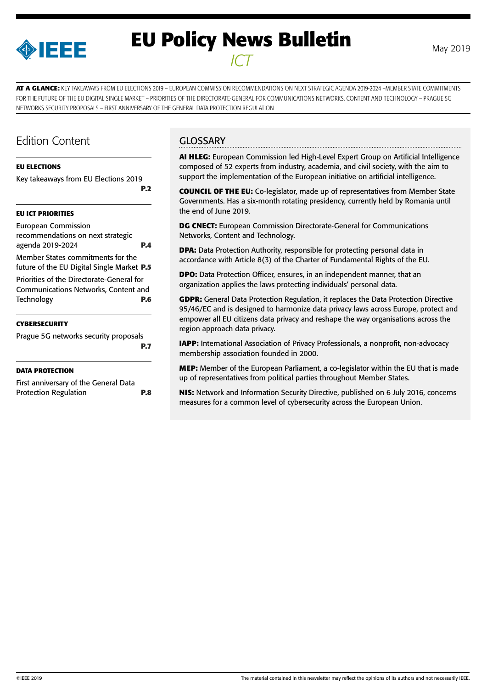

# **EU Policy News Bulletin** May 2019 *ICT*

**AT A GLANCE:** KEY TAKEAWAYS FROM EU ELECTIONS 2019 – EUROPEAN COMMISSION RECOMMENDATIONS ON NEXT STRATEGIC AGENDA 2019-2024 –MEMBER STATE COMMITMENTS FOR THE FUTURE OF THE EU DIGITAL SINGLE MARKET – PRIORITIES OF THE DIRECTORATE-GENERAL FOR COMMUNICATIONS NETWORKS, CONTENT AND TECHNOLOGY – PRAGUE 5G NETWORKS SECURITY PROPOSALS – FIRST ANNIVERSARY OF THE GENERAL DATA PROTECTION REGULATION

# Edition Content

### **[EU ELECTIONS](#page-1-0)**

[Key takeaways from EU Elections 2019](#page-1-0) **[P.2](#page-1-0)**

### **[EU ICT PRIORITIES](#page-3-0)**

[European Commission](#page-3-0)  [recommendations on next strategic](#page-3-0)  [agenda 2019-2024](#page-3-0) **P.4** [Member States commitments for the](#page-4-0)  [future of the EU Digital Single Market](#page-4-0) **P.5** [Priorities of the Directorate-General for](#page-5-0)  [Communications Networks, Content and](#page-5-0)  [Technology](#page-5-0) **P.6**

### **[CYBERSECURITY](#page-6-0)**

| Prague 5G networks security proposals |            |
|---------------------------------------|------------|
|                                       | <b>P.7</b> |

### **[DATA PROTECTION](#page-7-0)**

| First anniversary of the General Data |            |
|---------------------------------------|------------|
| <b>Protection Regulation</b>          | <b>P.8</b> |

# **GLOSSARY**

**AI HLEG:** European Commission led High-Level Expert Group on Artificial Intelligence composed of 52 experts from industry, academia, and civil society, with the aim to support the implementation of the European initiative on artificial intelligence.

**COUNCIL OF THE EU:** Co-legislator, made up of representatives from Member State Governments. Has a six-month rotating presidency, currently held by Romania until the end of June 2019.

**DG CNECT:** European Commission Directorate-General for Communications Networks, Content and Technology.

**DPA:** Data Protection Authority, responsible for protecting personal data in accordance with Article 8(3) of the Charter of Fundamental Rights of the EU.

**DPO:** Data Protection Officer, ensures, in an independent manner, that an organization applies the laws protecting individuals' personal data.

**GDPR:** General Data Protection Regulation, it replaces the Data Protection Directive 95/46/EC and is designed to harmonize data privacy laws across Europe, protect and empower all EU citizens data privacy and reshape the way organisations across the region approach data privacy.

**IAPP:** International Association of Privacy Professionals, a nonprofit, non-advocacy membership association founded in 2000.

**MEP:** Member of the European Parliament, a co-legislator within the EU that is made up of representatives from political parties throughout Member States.

**NIS:** Network and Information Security Directive, published on 6 July 2016, concerns measures for a common level of cybersecurity across the European Union.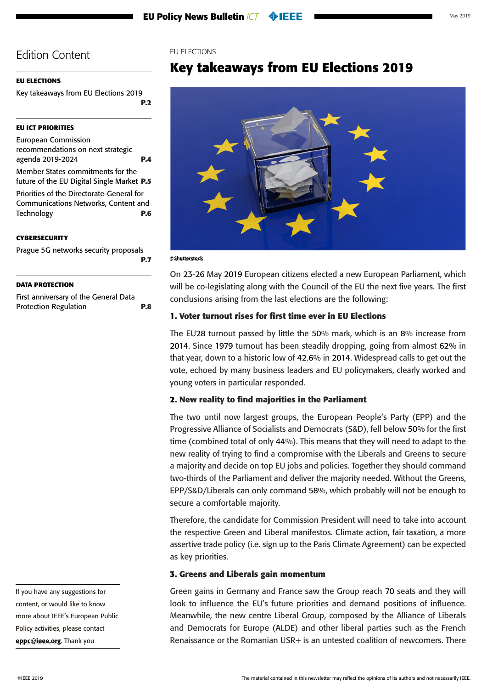# <span id="page-1-0"></span>**EU ELECTIONS**

Key takeaways from EU Elections 2019 **P.2**

# **[EU ICT PRIORITIES](#page-3-0)**

[European Commission](#page-3-0)  [recommendations on next strategic](#page-3-0)  [agenda 2019-2024](#page-3-0) **P.4** [Member States commitments for the](#page-4-0)  [future of the EU Digital Single Market](#page-4-0) **P.5**

[Priorities of the Directorate-General for](#page-5-0)  [Communications Networks, Content and](#page-5-0)  [Technology](#page-5-0) **P.6**

### **[CYBERSECURITY](#page-6-0)**

[Prague 5G networks security proposals](#page-6-0) **[P.7](#page-6-0)**

# **[DATA PROTECTION](#page-7-0)**

[First anniversary of the General Data](#page-7-0)  [Protection Regulation](#page-7-0) **P.8**

# EU ELECTIONS

# **Key takeaways from EU Elections 2019**



©Shutterstock

On 23-26 May 2019 European citizens elected a new European Parliament, which will be co-legislating along with the Council of the EU the next five years. The first conclusions arising from the last elections are the following:

### **1. Voter turnout rises for first time ever in EU Elections**

The EU28 turnout passed by little the 50% mark, which is an 8% increase from 2014. Since 1979 turnout has been steadily dropping, going from almost 62% in that year, down to a historic low of 42.6% in 2014. Widespread calls to get out the vote, echoed by many business leaders and EU policymakers, clearly worked and young voters in particular responded.

# **2. New reality to find majorities in the Parliament**

The two until now largest groups, the European People's Party (EPP) and the Progressive Alliance of Socialists and Democrats (S&D), fell below 50% for the first time (combined total of only 44%). This means that they will need to adapt to the new reality of trying to find a compromise with the Liberals and Greens to secure a majority and decide on top EU jobs and policies. Together they should command two-thirds of the Parliament and deliver the majority needed. Without the Greens, EPP/S&D/Liberals can only command 58%, which probably will not be enough to secure a comfortable majority.

Therefore, the candidate for Commission President will need to take into account the respective Green and Liberal manifestos. Climate action, fair taxation, a more assertive trade policy (i.e. sign up to the Paris Climate Agreement) can be expected as key priorities.

### **3. Greens and Liberals gain momentum**

Green gains in Germany and France saw the Group reach 70 seats and they will look to influence the EU's future priorities and demand positions of influence. Meanwhile, the new centre Liberal Group, composed by the Alliance of Liberals and Democrats for Europe (ALDE) and other liberal parties such as the French Renaissance or the Romanian USR+ is an untested coalition of newcomers. There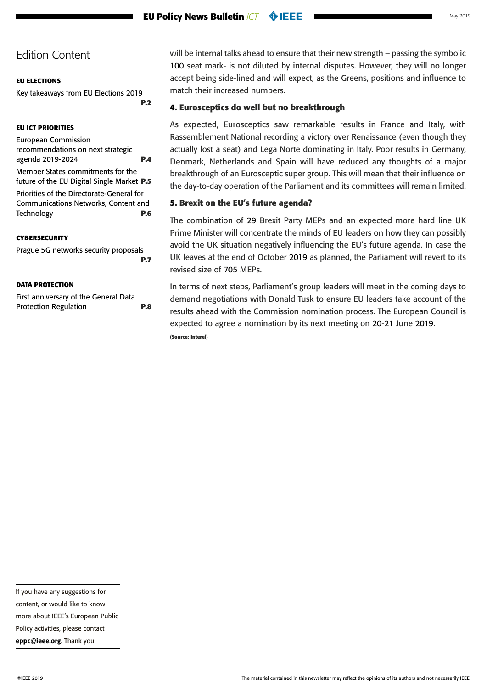### **[EU ELECTIONS](#page-1-0)**

[Key takeaways from EU Elections 2019](#page-1-0)

**[P.2](#page-1-0)**

### **[EU ICT PRIORITIES](#page-3-0)**

[European Commission](#page-3-0)  [recommendations on next strategic](#page-3-0)  [agenda 2019-2024](#page-3-0) **P.4**

[Member States commitments for the](#page-4-0)  [future of the EU Digital Single Market](#page-4-0) **P.5**

[Priorities of the Directorate-General for](#page-5-0)  [Communications Networks, Content and](#page-5-0)  [Technology](#page-5-0) **P.6**

#### **[CYBERSECURITY](#page-6-0)**

[Prague 5G networks security proposals](#page-6-0) **[P.7](#page-6-0)**

#### **[DATA PROTECTION](#page-7-0)**

[First anniversary of the General Data](#page-7-0)  [Protection Regulation](#page-7-0) **P.8** will be internal talks ahead to ensure that their new strength – passing the symbolic 100 seat mark- is not diluted by internal disputes. However, they will no longer accept being side-lined and will expect, as the Greens, positions and influence to match their increased numbers.

### **4. Eurosceptics do well but no breakthrough**

As expected, Eurosceptics saw remarkable results in France and Italy, with Rassemblement National recording a victory over Renaissance (even though they actually lost a seat) and Lega Norte dominating in Italy. Poor results in Germany, Denmark, Netherlands and Spain will have reduced any thoughts of a major breakthrough of an Eurosceptic super group. This will mean that their influence on the day-to-day operation of the Parliament and its committees will remain limited.

# **5. Brexit on the EU's future agenda?**

The combination of 29 Brexit Party MEPs and an expected more hard line UK Prime Minister will concentrate the minds of EU leaders on how they can possibly avoid the UK situation negatively influencing the EU's future agenda. In case the UK leaves at the end of October 2019 as planned, the Parliament will revert to its revised size of 705 MEPs.

In terms of next steps, Parliament's group leaders will meet in the coming days to demand negotiations with Donald Tusk to ensure EU leaders take account of the results ahead with the Commission nomination process. The European Council is expected to agree a nomination by its next meeting on 20-21 June 2019.

**(Source: Interel)**

content, or would like to know

more about IEEE's European Public

Policy activities, please contact

[eppc@ieee.org](mailto:eppc%40ieee.org?subject=). Thank you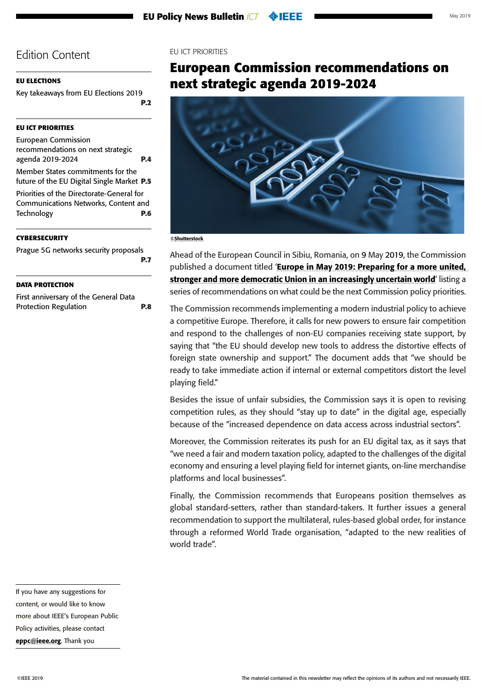### <span id="page-3-0"></span>**[EU ELECTIONS](#page-1-0)**

[Key takeaways from EU Elections 2019](#page-1-0)

### **EU ICT PRIORITIES**

European Commission recommendations on next strategic agenda 2019-2024 **P.4** [Member States commitments for the](#page-4-0)  [future of the EU Digital Single Market](#page-4-0) **P.5**

[Priorities of the Directorate-General for](#page-5-0)  [Communications Networks, Content and](#page-5-0)  [Technology](#page-5-0) **P.6**

#### **[CYBERSECURITY](#page-6-0)**

[Prague 5G networks security proposals](#page-6-0) **[P.7](#page-6-0)**

#### **[DATA PROTECTION](#page-7-0)**

[First anniversary of the General Data](#page-7-0)  [Protection Regulation](#page-7-0) **P.8**

### EU ICT PRIORITIES

**[P.2](#page-1-0)**

# **European Commission recommendations on next strategic agenda 2019-2024**



#### ©Shutterstock

Ahead of the European Council in Sibiu, Romania, on 9 May 2019, the Commission published a document titled 'Europe in May 2019: Preparing for a more united, [stronger and more democratic Union in an increasingly uncertain world](http://mmail.dods.co.uk/wf/click?upn=ylTnCxh9zvUxpjPh46TRxGCZeHhjA800XZtH4Hg5PR2noF8KxcNGR2B8227vKXxSFUbmhBXRWtgBf-2FA1PJ6ft32xWkeFHH5-2F9QbWx7byCYlGOoxyDAIFcaLXh3JIYA7AVYlA5KpZL0WBzWTc7eoA4vsRZo9xyr0VR1-2B9qXmy40izepLKRxjwykOZVMsNUEMxJ8rTi77QTPMRc0QClvJ-2FGA-3D-3D_lfI-2FGfYV0Yl6eOeO0IPcvA6c-2FMeg-2Br-2B0wh5KS8q78Stoq5AOCsygq3CImiI6UnDb85RCAZhMKyS4373b7a5Tz0eU1e0YWuABqqMkCynDJLdBAKSFR9WtEhw4bgnweCEQKDWZkjVL0M6Y3sDhIsCmS0ozrFil-2B4lndrOwTjuX7HD5SIgTQR4kx5yNXk7MWpT-2FZYlV33kCz2UcaksfZHjRxuDmJNqY31eKTCIGI-2FlRIxA-3D)' listing a series of recommendations on what could be the next Commission policy priorities.

The Commission recommends implementing a modern industrial policy to achieve a competitive Europe. Therefore, it calls for new powers to ensure fair competition and respond to the challenges of non-EU companies receiving state support, by saying that "the EU should develop new tools to address the distortive effects of foreign state ownership and support." The document adds that "we should be ready to take immediate action if internal or external competitors distort the level playing field."

Besides the issue of unfair subsidies, the Commission says it is open to revising competition rules, as they should "stay up to date" in the digital age, especially because of the "increased dependence on data access across industrial sectors".

Moreover, the Commission reiterates its push for an EU digital tax, as it says that "we need a fair and modern taxation policy, adapted to the challenges of the digital economy and ensuring a level playing field for internet giants, on-line merchandise platforms and local businesses".

Finally, the Commission recommends that Europeans position themselves as global standard-setters, rather than standard-takers. It further issues a general recommendation to support the multilateral, rules-based global order, for instance through a reformed World Trade organisation, "adapted to the new realities of world trade".

If you have any suggestions for content, or would like to know more about IEEE's European Public Policy activities, please contact [eppc@ieee.org](mailto:eppc%40ieee.org?subject=). Thank you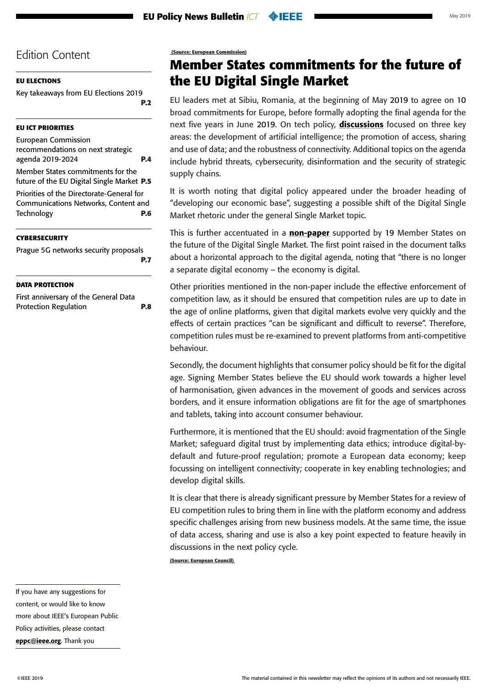# <span id="page-4-0"></span>**[EU ELECTIONS](#page-1-0)**

[Key takeaways from EU Elections 2019](#page-1-0) **[P.2](#page-1-0)**

# **[EU ICT PRIORITIES](#page-3-0)**

[European Commission](#page-3-0)  [recommendations on next strategic](#page-3-0)  [agenda 2019-2024](#page-3-0) **P.4**

Member States commitments for the future of the EU Digital Single Market **P.5**

[Priorities of the Directorate-General for](#page-5-0)  [Communications Networks, Content and](#page-5-0)  [Technology](#page-5-0) **P.6**

### **[CYBERSECURITY](#page-6-0)**

[Prague 5G networks security proposals](#page-6-0) **[P.7](#page-6-0)**

### **[DATA PROTECTION](#page-7-0)**

[First anniversary of the General Data](#page-7-0)  [Protection Regulation](#page-7-0) **P.8**  **(Source: European Commission)**

# **Member States commitments for the future of the EU Digital Single Market**

EU leaders met at Sibiu, Romania, at the beginning of May 2019 to agree on 10 broad commitments for Europe, before formally adopting the final agenda for the next five years in June 2019. On tech policy, **[discussions](https://www.consilium.europa.eu/media/39291/en_leaders-agenda-note-on-strategic-agenda-2019-2024-0519.pdf?utm_source=POLITICO.EU&utm_campaign=0a4582ec65-EMAIL_CAMPAIGN_2019_05_08_06_13&utm_medium=email&utm_term=0_10959edeb5-0a4582ec65-190351733)** focused on three key areas: the development of artificial intelligence; the promotion of access, sharing and use of data; and the robustness of connectivity. Additional topics on the agenda include hybrid threats, cybersecurity, disinformation and the security of strategic supply chains.

It is worth noting that digital policy appeared under the broader heading of "developing our economic base", suggesting a possible shift of the Digital Single Market rhetoric under the general Single Market topic.

This is further accentuated in a [non-paper](https://www.politico.eu/wp-content/uploads/2019/05/SKM_C45819050817130.pdf?utm_source=POLITICO.EU&utm_campaign=0a4582ec65-EMAIL_CAMPAIGN_2019_05_08_06_13&utm_medium=email&utm_term=0_10959edeb5-0a4582ec65-190351733) supported by 19 Member States on the future of the Digital Single Market. The first point raised in the document talks about a horizontal approach to the digital agenda, noting that "there is no longer a separate digital economy – the economy is digital.

Other priorities mentioned in the non-paper include the effective enforcement of competition law, as it should be ensured that competition rules are up to date in the age of online platforms, given that digital markets evolve very quickly and the effects of certain practices "can be significant and difficult to reverse". Therefore, competition rules must be re-examined to prevent platforms from anti-competitive behaviour.

Secondly, the document highlights that consumer policy should be fit for the digital age. Signing Member States believe the EU should work towards a higher level of harmonisation, given advances in the movement of goods and services across borders, and it ensure information obligations are fit for the age of smartphones and tablets, taking into account consumer behaviour.

Furthermore, it is mentioned that the EU should: avoid fragmentation of the Single Market; safeguard digital trust by implementing data ethics; introduce digital-bydefault and future-proof regulation; promote a European data economy; keep focussing on intelligent connectivity; cooperate in key enabling technologies; and develop digital skills.

It is clear that there is already significant pressure by Member States for a review of EU competition rules to bring them in line with the platform economy and address specific challenges arising from new business models. At the same time, the issue of data access, sharing and use is also a key point expected to feature heavily in discussions in the next policy cycle.

**(Source: European Council)**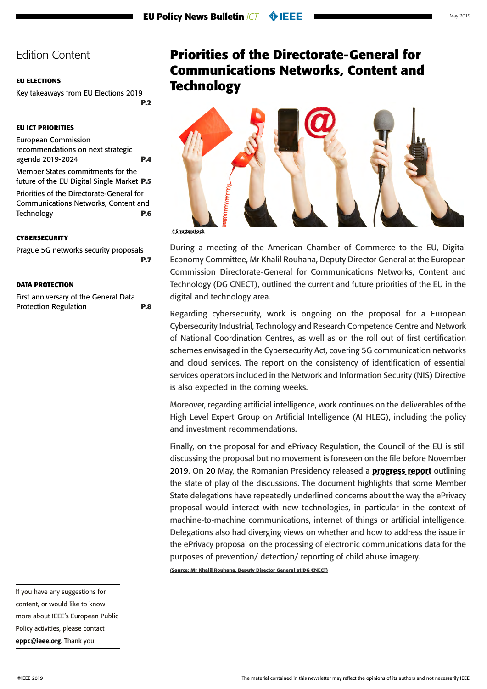#### <span id="page-5-0"></span>**[EU ELECTIONS](#page-1-0)**

[Key takeaways from EU Elections 2019](#page-1-0) **[P.2](#page-1-0)**

#### **[EU ICT PRIORITIES](#page-3-0)**

[European Commission](#page-3-0)  [recommendations on next strategic](#page-3-0)  [agenda 2019-2024](#page-3-0) **P.4** [Member States commitments for the](#page-4-0) 

[future of the EU Digital Single Market](#page-4-0) **P.5** Priorities of the Directorate-General for

Communications Networks, Content and Technology **P.6**

#### **[CYBERSECURITY](#page-6-0)**

[Prague 5G networks security proposals](#page-6-0) **[P.7](#page-6-0)**

#### **[DATA PROTECTION](#page-7-0)**

[First anniversary of the General Data](#page-7-0)  [Protection Regulation](#page-7-0) **P.8**

# **Priorities of the Directorate-General for Communications Networks, Content and Technology**



During a meeting of the American Chamber of Commerce to the EU, Digital Economy Committee, Mr Khalil Rouhana, Deputy Director General at the European Commission Directorate-General for Communications Networks, Content and Technology (DG CNECT), outlined the current and future priorities of the EU in the digital and technology area.

Regarding cybersecurity, work is ongoing on the proposal for a European Cybersecurity Industrial, Technology and Research Competence Centre and Network of National Coordination Centres, as well as on the roll out of first certification schemes envisaged in the Cybersecurity Act, covering 5G communication networks and cloud services. The report on the consistency of identification of essential services operators included in the Network and Information Security (NIS) Directive is also expected in the coming weeks.

Moreover, regarding artificial intelligence, work continues on the deliverables of the High Level Expert Group on Artificial Intelligence (AI HLEG), including the policy and investment recommendations.

Finally, on the proposal for and ePrivacy Regulation, the Council of the EU is still discussing the proposal but no movement is foreseen on the file before November 2019. On 20 May, the Romanian Presidency released a **[progress report](https://www.politico.eu/wp-content/uploads/2019/05/Progress-report-v2-May.pdf?utm_source=POLITICO.EU&utm_campaign=bd78b4ad9a-EMAIL_CAMPAIGN_2019_05_20_06_24&utm_medium=email&utm_term=0_10959edeb5-bd78b4ad9a-190351733)** outlining the state of play of the discussions. The document highlights that some Member State delegations have repeatedly underlined concerns about the way the ePrivacy proposal would interact with new technologies, in particular in the context of machine-to-machine communications, internet of things or artificial intelligence. Delegations also had diverging views on whether and how to address the issue in the ePrivacy proposal on the processing of electronic communications data for the purposes of prevention/ detection/ reporting of child abuse imagery.

**(Source: Mr Khalil Rouhana, Deputy Director General at DG CNECT)**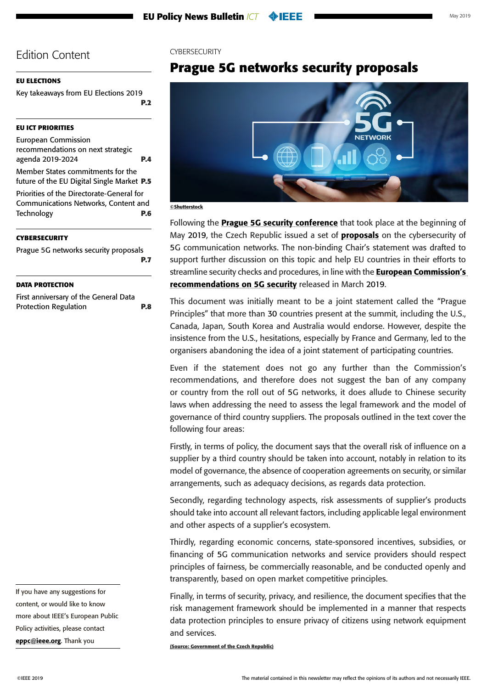### <span id="page-6-0"></span>**[EU ELECTIONS](#page-1-0)**

[Key takeaways from EU Elections 2019](#page-1-0) **[P.2](#page-1-0)**

### **[EU ICT PRIORITIES](#page-3-0)**

[European Commission](#page-3-0)  [recommendations on next strategic](#page-3-0)  [agenda 2019-2024](#page-3-0) **P.4** [Member States commitments for the](#page-4-0) 

[future of the EU Digital Single Market](#page-4-0) **P.5**

[Priorities of the Directorate-General for](#page-5-0)  [Communications Networks, Content and](#page-5-0)  [Technology](#page-5-0) **P.6**

#### **CYBERSECURITY**

Prague 5G networks security proposals **P.7**

#### **[DATA PROTECTION](#page-7-0)**

[First anniversary of the General Data](#page-7-0)  [Protection Regulation](#page-7-0) **P.8**

If you have any suggestions for content, or would like to know more about IEEE's European Public Policy activities, please contact [eppc@ieee.org](mailto:eppc%40ieee.org?subject=). Thank you

### **CYBERSECURITY**

# **Prague 5G networks security proposals**



©Shutterstock

Following the [Prague 5G security conference](https://www.mzv.cz/jnp/en/issues_and_press/press_releases/x2019_04_24_prague_5g_security_conference.html) that took place at the beginning of May 2019, the Czech Republic issued a set of **[proposals](https://www.mzv.cz/file/3481883/PRG_proposals_SP.pdf?utm_source=POLITICO.EU&utm_campaign=54668bc6ca-EMAIL_CAMPAIGN_2019_05_03_02_20&utm_medium=email&utm_term=0_10959edeb5-54668bc6ca-190351733)** on the cybersecurity of 5G communication networks. The non-binding Chair's statement was drafted to support further discussion on this topic and help EU countries in their efforts to streamline security checks and procedures, in line with the **European Commission's** [recommendations on 5G security](https://politico.us8.list-manage.com/track/click?u=e26c1a1c392386a968d02fdbc&id=ed0d7bcdb1&e=17fc391f2c) released in March 2019.

This document was initially meant to be a joint statement called the "Prague Principles" that more than 30 countries present at the summit, including the U.S., Canada, Japan, South Korea and Australia would endorse. However, despite the insistence from the U.S., hesitations, especially by France and Germany, led to the organisers abandoning the idea of a joint statement of participating countries.

Even if the statement does not go any further than the Commission's recommendations, and therefore does not suggest the ban of any company or country from the roll out of 5G networks, it does allude to Chinese security laws when addressing the need to assess the legal framework and the model of governance of third country suppliers. The proposals outlined in the text cover the following four areas:

Firstly, in terms of policy, the document says that the overall risk of influence on a supplier by a third country should be taken into account, notably in relation to its model of governance, the absence of cooperation agreements on security, or similar arrangements, such as adequacy decisions, as regards data protection.

Secondly, regarding technology aspects, risk assessments of supplier's products should take into account all relevant factors, including applicable legal environment and other aspects of a supplier's ecosystem.

Thirdly, regarding economic concerns, state-sponsored incentives, subsidies, or financing of 5G communication networks and service providers should respect principles of fairness, be commercially reasonable, and be conducted openly and transparently, based on open market competitive principles.

Finally, in terms of security, privacy, and resilience, the document specifies that the risk management framework should be implemented in a manner that respects data protection principles to ensure privacy of citizens using network equipment and services.

**(Source: Government of the Czech Republic)**